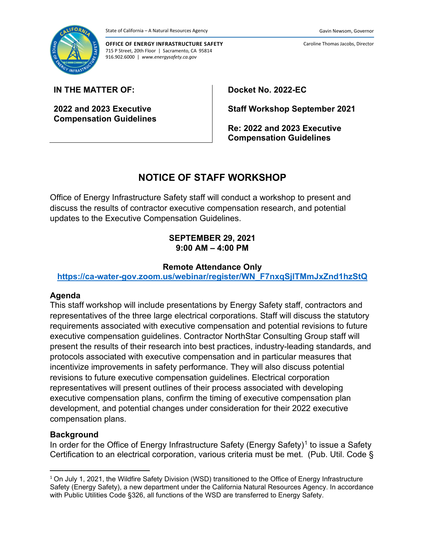

**OFFICE OF ENERGY INFRASTRUCTURE SAFETY** 715 P Street, 20th Floor | Sacramento, CA 95814 916.902.6000 | *www.energysafety.ca.gov*

**2022 and 2023 Executive Compensation Guidelines** **Docket No. 2022-EC**

**Staff Workshop September 2021**

**Re: 2022 and 2023 Executive Compensation Guidelines**

# **NOTICE OF STAFF WORKSHOP**

Office of Energy Infrastructure Safety staff will conduct a workshop to present and discuss the results of contractor executive compensation research, and potential updates to the Executive Compensation Guidelines.

## **SEPTEMBER 29, 2021 9:00 AM – 4:00 PM**

## **Remote Attendance Only**

**[https://ca-water-gov.zoom.us/webinar/register/WN\\_F7nxqSjlTMmJxZnd1hzStQ](https://ca-water-gov.zoom.us/webinar/register/WN_F7nxqSjlTMmJxZnd1hzStQ)**

## **Agenda**

This staff workshop will include presentations by Energy Safety staff, contractors and representatives of the three large electrical corporations. Staff will discuss the statutory requirements associated with executive compensation and potential revisions to future executive compensation guidelines. Contractor NorthStar Consulting Group staff will present the results of their research into best practices, industry-leading standards, and protocols associated with executive compensation and in particular measures that incentivize improvements in safety performance. They will also discuss potential revisions to future executive compensation guidelines. Electrical corporation representatives will present outlines of their process associated with developing executive compensation plans, confirm the timing of executive compensation plan development, and potential changes under consideration for their 2022 executive compensation plans.

## **Background**

In order for the Office of Energy Infrastructure Safety (Energy Safety)<sup>[1](#page-0-0)</sup> to issue a Safety Certification to an electrical corporation, various criteria must be met. (Pub. Util. Code §

Caroline Thomas Jacobs, Director

<span id="page-0-0"></span><sup>1</sup> On July 1, 2021, the Wildfire Safety Division (WSD) transitioned to the Office of Energy Infrastructure Safety (Energy Safety), a new department under the California Natural Resources Agency. In accordance with Public Utilities Code §326, all functions of the WSD are transferred to Energy Safety.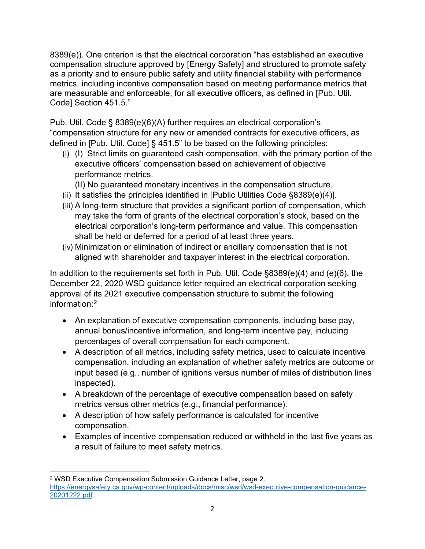8389(e)). One criterion is that the electrical corporation "has established an executive compensation structure approved by [Energy Safety] and structured to promote safety as a priority and to ensure public safety and utility financial stability with performance metrics, including incentive compensation based on meeting performance metrics that are measurable and enforceable, for all executive officers, as defined in [Pub. Util. Code] Section 451.5."

Pub. Util. Code § 8389(e)(6)(A) further requires an electrical corporation's "compensation structure for any new or amended contracts for executive officers, as defined in [Pub. Util. Code] § 451.5" to be based on the following principles:

(i) (I) Strict limits on guaranteed cash compensation, with the primary portion of the executive officers' compensation based on achievement of objective performance metrics.

(II) No guaranteed monetary incentives in the compensation structure.

- (ii) It satisfies the principles identified in [Public Utilities Code §8389(e)(4)].
- (iii) A long-term structure that provides a significant portion of compensation, which may take the form of grants of the electrical corporation's stock, based on the electrical corporation's long-term performance and value. This compensation shall be held or deferred for a period of at least three years.
- (iv) Minimization or elimination of indirect or ancillary compensation that is not aligned with shareholder and taxpayer interest in the electrical corporation.

In addition to the requirements set forth in Pub. Util. Code §8389(e)(4) and (e)(6), the December 22, 2020 WSD guidance letter required an electrical corporation seeking approval of its 2021 executive compensation structure to submit the following information:[2](#page-1-0)

- An explanation of executive compensation components, including base pay, annual bonus/incentive information, and long-term incentive pay, including percentages of overall compensation for each component.
- A description of all metrics, including safety metrics, used to calculate incentive compensation, including an explanation of whether safety metrics are outcome or input based (e.g., number of ignitions versus number of miles of distribution lines inspected).
- A breakdown of the percentage of executive compensation based on safety metrics versus other metrics (e.g., financial performance).
- A description of how safety performance is calculated for incentive compensation.
- Examples of incentive compensation reduced or withheld in the last five years as a result of failure to meet safety metrics.

<span id="page-1-0"></span><sup>2</sup> WSD Executive Compensation Submission Guidance Letter, page 2. [https://energysafety.ca.gov/wp-content/uploads/docs/misc/wsd/wsd-executive-compensation-guidance-](https://energysafety.ca.gov/wp-content/uploads/docs/misc/wsd/wsd-executive-compensation-guidance-20201222.pdf)[20201222.pdf.](https://energysafety.ca.gov/wp-content/uploads/docs/misc/wsd/wsd-executive-compensation-guidance-20201222.pdf)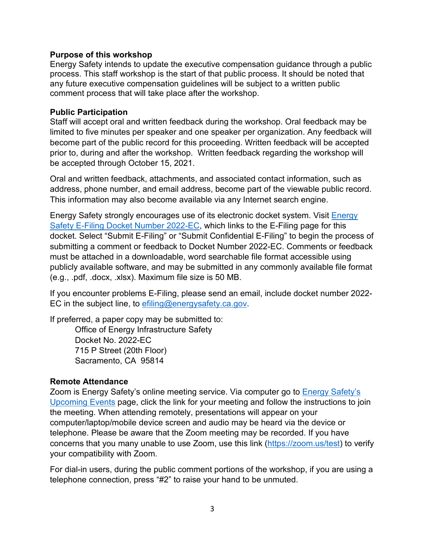## **Purpose of this workshop**

Energy Safety intends to update the executive compensation guidance through a public process. This staff workshop is the start of that public process. It should be noted that any future executive compensation guidelines will be subject to a written public comment process that will take place after the workshop.

## **Public Participation**

Staff will accept oral and written feedback during the workshop. Oral feedback may be limited to five minutes per speaker and one speaker per organization. Any feedback will become part of the public record for this proceeding. Written feedback will be accepted prior to, during and after the workshop. Written feedback regarding the workshop will be accepted through October 15, 2021.

Oral and written feedback, attachments, and associated contact information, such as address, phone number, and email address, become part of the viewable public record. This information may also become available via any Internet search engine.

Energy Safety strongly encourages use of its electronic docket system. Visit [Energy](https://efiling.energysafety.ca.gov/EFiling/DocketInformation.aspx?docketnumber=2022-EC)  [Safety E-Filing Docket Number 2022-EC,](https://efiling.energysafety.ca.gov/EFiling/DocketInformation.aspx?docketnumber=2022-EC) which links to the E-Filing page for this docket. Select "Submit E-Filing" or "Submit Confidential E-Filing" to begin the process of submitting a comment or feedback to Docket Number 2022-EC. Comments or feedback must be attached in a downloadable, word searchable file format accessible using publicly available software, and may be submitted in any commonly available file format (e.g., .pdf, .docx, .xlsx). Maximum file size is 50 MB.

If you encounter problems E-Filing, please send an email, include docket number 2022 EC in the subject line, to [efiling@energysafety.ca.gov.](mailto:efiling@energysafety.ca.gov)

If preferred, a paper copy may be submitted to:

Office of Energy Infrastructure Safety Docket No. 2022-EC 715 P Street (20th Floor) Sacramento, CA 95814

## **Remote Attendance**

Zoom is [Energy Safety's](https://energysafety.ca.gov/events-and-meetings/upcoming-events/) online meeting service. Via computer go to Energy Safety's [Upcoming Events](https://energysafety.ca.gov/events-and-meetings/upcoming-events/) page, click the link for your meeting and follow the instructions to join the meeting. When attending remotely, presentations will appear on your computer/laptop/mobile device screen and audio may be heard via the device or telephone. Please be aware that the Zoom meeting may be recorded. If you have concerns that you many unable to use Zoom, use this link [\(https://zoom.us/test\)](https://zoom.us/test) to verify your compatibility with Zoom.

For dial-in users, during the public comment portions of the workshop, if you are using a telephone connection, press "#2" to raise your hand to be unmuted.